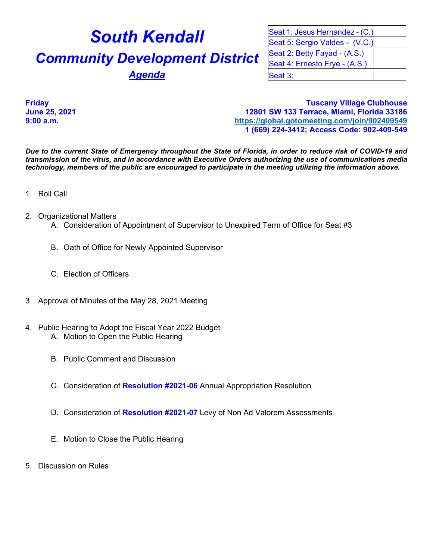## **South Kendall Community Development District Agenda**

| Seat 1: Jesus Hernandez - (C.) |  |
|--------------------------------|--|
| Seat 5: Sergio Valdes - (V.C.) |  |
| Seat 2: Betty Fayad - (A.S.)   |  |
| Seat 4: Ernesto Frye - (A.S.)  |  |
| Seat 3:                        |  |

**Friday Tuscany Village Clubhouse June 25, 2021 12801 SW 133 Terrace, Miami, Florida 33186 9:00 a.m. <https://global.gotomeeting.com/join/902409549> 1 (669) 224-3412; Access Code: 902-409-549**

*Due to the current State of Emergency throughout the State of Florida, in order to reduce risk of COVID-19 and transmission of the virus, and in accordance with Executive Orders authorizing the use of communications media technology, members of the public are encouraged to participate in the meeting utilizing the information above.*

- 1. Roll Call
- 2. Organizational Matters
	- A. Consideration of Appointment of Supervisor to Unexpired Term of Office for Seat #3
	- B. Oath of Office for Newly Appointed Supervisor
	- C. Election of Officers
- 3. Approval of Minutes of the May 28, 2021 Meeting
- 4. Public Hearing to Adopt the Fiscal Year 2022 Budget A. Motion to Open the Public Hearing
	- B. Public Comment and Discussion
	- C. Consideration of **Resolution #2021-06** Annual Appropriation Resolution
	- D. Consideration of **Resolution #2021-07** Levy of Non Ad Valorem Assessments
	- E. Motion to Close the Public Hearing
- 5. Discussion on Rules